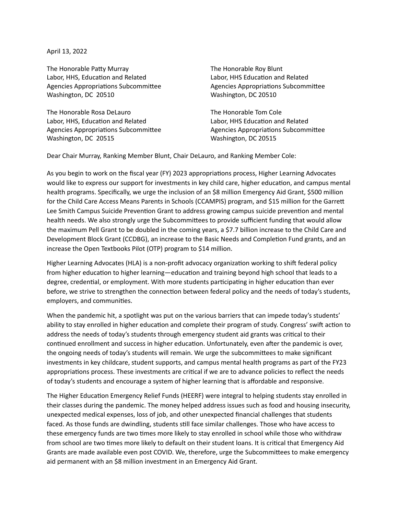## April 13, 2022

The Honorable Patty Murray The Honorable Roy Blunt Labor, HHS, Education and Related Labor, HHS Education and Related Agencies Appropriations Subcommittee Agencies Appropriations Subcommittee Washington, DC 20510 Washington, DC 20510

The Honorable Rosa DeLauro The Honorable Tom Cole Labor, HHS, Education and Related Labor, HHS Education and Related Agencies Appropriations Subcommittee Agencies Appropriations Subcommittee Washington, DC 20515 Washington, DC 20515

Dear Chair Murray, Ranking Member Blunt, Chair DeLauro, and Ranking Member Cole:

As you begin to work on the fiscal year (FY) 2023 appropriations process, Higher Learning Advocates would like to express our support for investments in key child care, higher education, and campus mental health programs. Specifically, we urge the inclusion of an \$8 million Emergency Aid Grant, \$500 million for the Child Care Access Means Parents in Schools (CCAMPIS) program, and \$15 million for the Garre Lee Smith Campus Suicide Prevention Grant to address growing campus suicide prevention and mental health needs. We also strongly urge the Subcommittees to provide sufficient funding that would allow the maximum Pell Grant to be doubled in the coming years, a \$7.7 billion increase to the Child Care and Development Block Grant (CCDBG), an increase to the Basic Needs and Completion Fund grants, and an increase the Open Textbooks Pilot (OTP) program to \$14 million.

Higher Learning Advocates (HLA) is a non-profit advocacy organization working to shift federal policy from higher education to higher learning—education and training beyond high school that leads to a degree, credential, or employment. With more students participating in higher education than ever before, we strive to strengthen the connection between federal policy and the needs of today's students, employers, and communities.

When the pandemic hit, a spotlight was put on the various barriers that can impede today's students' ability to stay enrolled in higher education and complete their program of study. Congress' swift action to address the needs of today's students through emergency student aid grants was critical to their continued enrollment and success in higher education. Unfortunately, even after the pandemic is over, the ongoing needs of today's students will remain. We urge the subcommittees to make significant investments in key childcare, student supports, and campus mental health programs as part of the FY23 appropriations process. These investments are critical if we are to advance policies to reflect the needs of today's students and encourage a system of higher learning that is affordable and responsive.

The Higher Education Emergency Relief Funds (HEERF) were integral to helping students stay enrolled in their classes during the pandemic. The money helped address issues such as food and housing insecurity, unexpected medical expenses, loss of job, and other unexpected financial challenges that students faced. As those funds are dwindling, students still face similar challenges. Those who have access to these emergency funds are two times more likely to stay enrolled in school while those who withdraw from school are two times more likely to default on their student loans. It is critical that Emergency Aid Grants are made available even post COVID. We, therefore, urge the Subcommittees to make emergency aid permanent with an \$8 million investment in an Emergency Aid Grant.